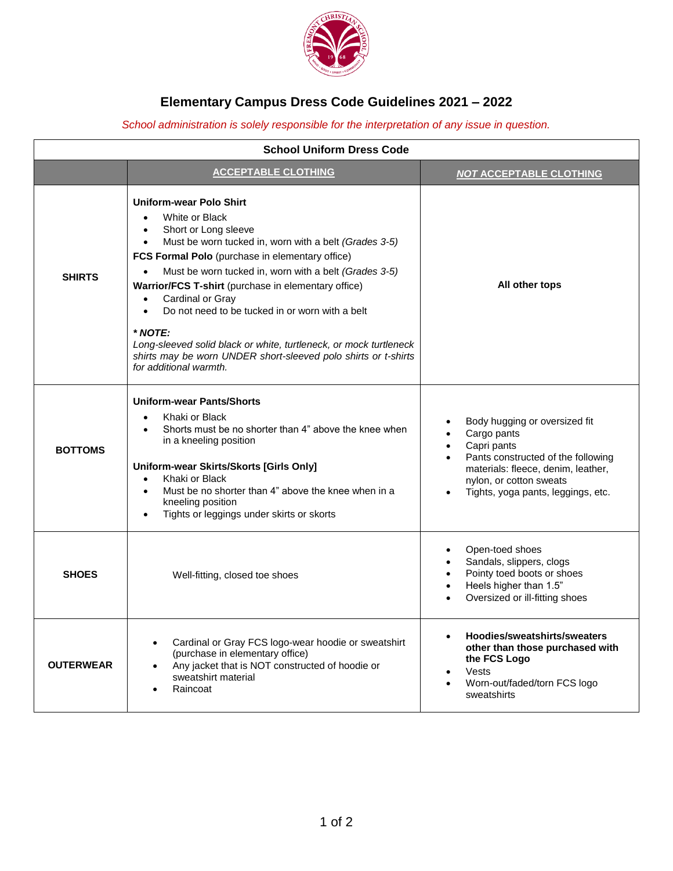

## **Elementary Campus Dress Code Guidelines 2021 – 2022**

## *School administration is solely responsible for the interpretation of any issue in question.*

| <b>School Uniform Dress Code</b> |                                                                                                                                                                                                                                                                                                                                                                                                                                                                                                                                                                                     |                                                                                                                                                                                                                       |  |  |
|----------------------------------|-------------------------------------------------------------------------------------------------------------------------------------------------------------------------------------------------------------------------------------------------------------------------------------------------------------------------------------------------------------------------------------------------------------------------------------------------------------------------------------------------------------------------------------------------------------------------------------|-----------------------------------------------------------------------------------------------------------------------------------------------------------------------------------------------------------------------|--|--|
|                                  | <b>ACCEPTABLE CLOTHING</b>                                                                                                                                                                                                                                                                                                                                                                                                                                                                                                                                                          | <b>NOT ACCEPTABLE CLOTHING</b>                                                                                                                                                                                        |  |  |
| <b>SHIRTS</b>                    | <b>Uniform-wear Polo Shirt</b><br>White or Black<br>Short or Long sleeve<br>Must be worn tucked in, worn with a belt (Grades 3-5)<br>$\bullet$<br>FCS Formal Polo (purchase in elementary office)<br>Must be worn tucked in, worn with a belt (Grades 3-5)<br>Warrior/FCS T-shirt (purchase in elementary office)<br>Cardinal or Gray<br>Do not need to be tucked in or worn with a belt<br>$\bullet$<br>$*$ NOTE:<br>Long-sleeved solid black or white, turtleneck, or mock turtleneck<br>shirts may be worn UNDER short-sleeved polo shirts or t-shirts<br>for additional warmth. | All other tops                                                                                                                                                                                                        |  |  |
| <b>BOTTOMS</b>                   | <b>Uniform-wear Pants/Shorts</b><br>Khaki or Black<br>Shorts must be no shorter than 4" above the knee when<br>in a kneeling position<br>Uniform-wear Skirts/Skorts [Girls Only]<br>Khaki or Black<br>$\bullet$<br>Must be no shorter than 4" above the knee when in a<br>kneeling position<br>Tights or leggings under skirts or skorts                                                                                                                                                                                                                                            | Body hugging or oversized fit<br>Cargo pants<br>Capri pants<br>$\bullet$<br>Pants constructed of the following<br>materials: fleece, denim, leather,<br>nylon, or cotton sweats<br>Tights, yoga pants, leggings, etc. |  |  |
| <b>SHOES</b>                     | Well-fitting, closed toe shoes                                                                                                                                                                                                                                                                                                                                                                                                                                                                                                                                                      | Open-toed shoes<br>$\bullet$<br>Sandals, slippers, clogs<br>$\bullet$<br>Pointy toed boots or shoes<br>Heels higher than 1.5"<br>$\bullet$<br>Oversized or ill-fitting shoes                                          |  |  |
| <b>OUTERWEAR</b>                 | Cardinal or Gray FCS logo-wear hoodie or sweatshirt<br>(purchase in elementary office)<br>Any jacket that is NOT constructed of hoodie or<br>sweatshirt material<br>Raincoat                                                                                                                                                                                                                                                                                                                                                                                                        | Hoodies/sweatshirts/sweaters<br>other than those purchased with<br>the FCS Logo<br>Vests<br>Worn-out/faded/torn FCS logo<br>sweatshirts                                                                               |  |  |